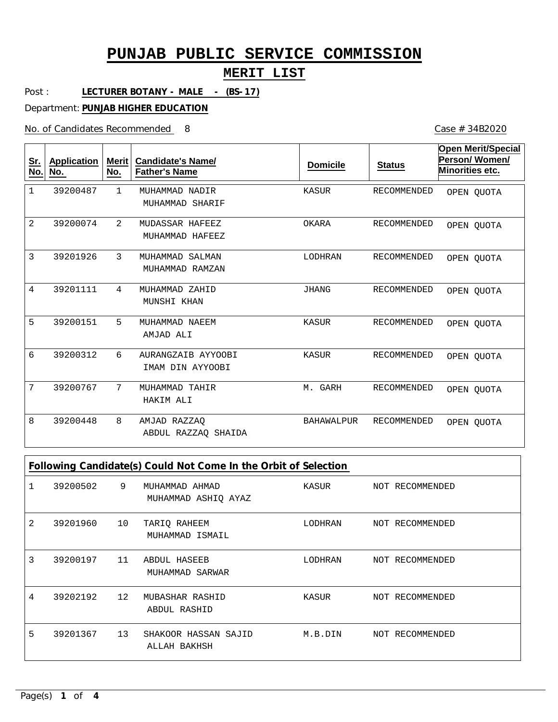# **MERIT LIST**

Post : LECTURER BOTANY - MALE - (BS-17)

Department: **PUNJAB HIGHER EDUCATION**

No. of Candidates Recommended

Case # 34B2020

| Sr.<br>No.     | <b>Application</b><br>No. | Merit  <br>No. | <b>Candidate's Name/</b><br><b>Father's Name</b> | <b>Domicile</b>   | <b>Status</b>      | <b>Open Merit/Special</b><br>Person/Women/<br>Minorities etc. |
|----------------|---------------------------|----------------|--------------------------------------------------|-------------------|--------------------|---------------------------------------------------------------|
| $\mathbf{1}$   | 39200487                  | 1              | MUHAMMAD NADIR<br>MUHAMMAD SHARIF                | KASUR             | <b>RECOMMENDED</b> | OPEN QUOTA                                                    |
| $\overline{2}$ | 39200074                  | 2              | MUDASSAR HAFEEZ<br>MUHAMMAD HAFEEZ               | OKARA             | <b>RECOMMENDED</b> | OPEN OUOTA                                                    |
| 3              | 39201926                  | 3              | MUHAMMAD SALMAN<br>MUHAMMAD RAMZAN               | LODHRAN           | <b>RECOMMENDED</b> | OPEN OUOTA                                                    |
| $\overline{4}$ | 39201111                  | 4              | MUHAMMAD ZAHID<br>MUNSHI KHAN                    | <b>JHANG</b>      | <b>RECOMMENDED</b> | OPEN OUOTA                                                    |
| 5              | 39200151                  | 5              | MUHAMMAD NAEEM<br>AMJAD ALI                      | KASUR             | <b>RECOMMENDED</b> | OPEN QUOTA                                                    |
| 6              | 39200312                  | 6              | AURANGZAIB AYYOOBI<br>IMAM DIN AYYOOBI           | KASUR             | <b>RECOMMENDED</b> | OPEN QUOTA                                                    |
| 7              | 39200767                  | 7              | MUHAMMAD TAHIR<br>HAKIM ALI                      | M. GARH           | <b>RECOMMENDED</b> | OPEN QUOTA                                                    |
| 8              | 39200448                  | 8              | AMJAD RAZZAQ<br>ABDUL RAZZAO SHAIDA              | <b>BAHAWALPUR</b> | <b>RECOMMENDED</b> | OPEN QUOTA                                                    |

| Following Candidate(s) Could Not Come In the Orbit of Selection |          |                 |                                        |         |                 |  |
|-----------------------------------------------------------------|----------|-----------------|----------------------------------------|---------|-----------------|--|
|                                                                 | 39200502 | 9               | MUHAMMAD AHMAD<br>MUHAMMAD ASHIQ AYAZ  | KASUR   | NOT RECOMMENDED |  |
| 2                                                               | 39201960 | 10              | TARIQ RAHEEM<br>MUHAMMAD ISMAIL        | LODHRAN | NOT RECOMMENDED |  |
| 3                                                               | 39200197 | 11              | <b>ABDUL HASEEB</b><br>MUHAMMAD SARWAR | LODHRAN | NOT RECOMMENDED |  |
| 4                                                               | 39202192 | 12 <sup>°</sup> | MUBASHAR RASHID<br>ABDUL RASHID        | KASUR   | NOT RECOMMENDED |  |
| 5                                                               | 39201367 | 13              | SHAKOOR HASSAN SAJID<br>ALLAH BAKHSH   | M.B.DIN | NOT RECOMMENDED |  |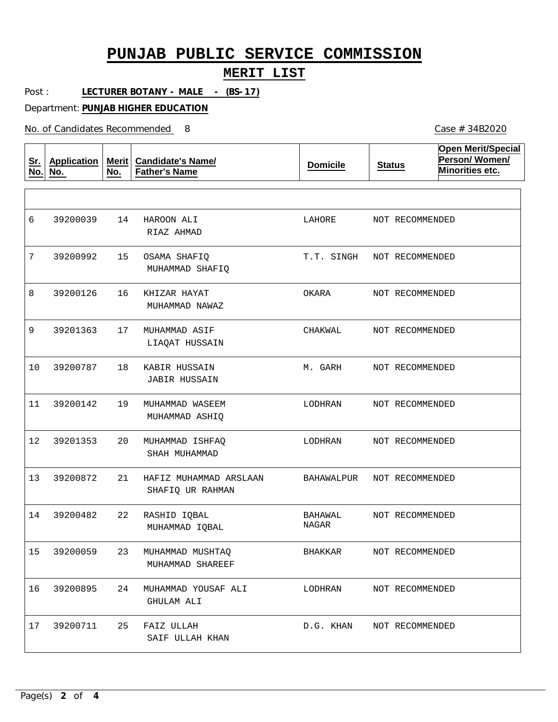### **MERIT LIST**

Post : LECTURER BOTANY - MALE - (BS-17)

Department: **PUNJAB HIGHER EDUCATION**

No. of Candidates Recommended

| <u>Sr.</u><br>No. | <b>Application</b><br>No. | Merit $ $<br>No. | <b>Candidate's Name/</b><br><b>Father's Name</b> | <b>Domicile</b>  | <b>Status</b>   | <b>Open Merit/Special</b><br>Person/Women/<br>Minorities etc. |
|-------------------|---------------------------|------------------|--------------------------------------------------|------------------|-----------------|---------------------------------------------------------------|
|                   |                           |                  |                                                  |                  |                 |                                                               |
| 6                 | 39200039                  | 14               | HAROON ALI<br>RIAZ AHMAD                         | LAHORE           | NOT RECOMMENDED |                                                               |
| 7                 | 39200992                  | 15               | OSAMA SHAFIO<br>MUHAMMAD SHAFIO                  | T.T. SINGH       | NOT RECOMMENDED |                                                               |
| 8                 | 39200126                  | 16               | KHIZAR HAYAT<br>MUHAMMAD NAWAZ                   | OKARA            | NOT RECOMMENDED |                                                               |
| 9                 | 39201363                  | 17               | MUHAMMAD ASIF<br>LIAOAT HUSSAIN                  | CHAKWAL          | NOT RECOMMENDED |                                                               |
| 10                | 39200787                  | 18               | KABIR HUSSAIN<br><b>JABIR HUSSAIN</b>            | M. GARH          | NOT RECOMMENDED |                                                               |
| 11                | 39200142                  | 19               | MUHAMMAD WASEEM<br>MUHAMMAD ASHIQ                | LODHRAN          | NOT RECOMMENDED |                                                               |
| 12                | 39201353                  | 20               | MUHAMMAD ISHFAQ<br>SHAH MUHAMMAD                 | LODHRAN          | NOT RECOMMENDED |                                                               |
| 13                | 39200872                  | 21               | HAFIZ MUHAMMAD ARSLAAN<br>SHAFIQ UR RAHMAN       | BAHAWALPUR       | NOT RECOMMENDED |                                                               |
| 14                | 39200482                  | 22               | RASHID IQBAL<br>MUHAMMAD IQBAL                   | BAHAWAL<br>NAGAR | NOT RECOMMENDED |                                                               |
| 15                | 39200059                  | 23               | MUHAMMAD MUSHTAQ<br>MUHAMMAD SHAREEF             | BHAKKAR          | NOT RECOMMENDED |                                                               |
| 16                | 39200895                  | 24               | MUHAMMAD YOUSAF ALI<br>GHULAM ALI                | LODHRAN          |                 | NOT RECOMMENDED                                               |
| 17                | 39200711                  | 25               | FAIZ ULLAH<br>SAIF ULLAH KHAN                    | D.G. KHAN        |                 | NOT RECOMMENDED                                               |

Case # 34B2020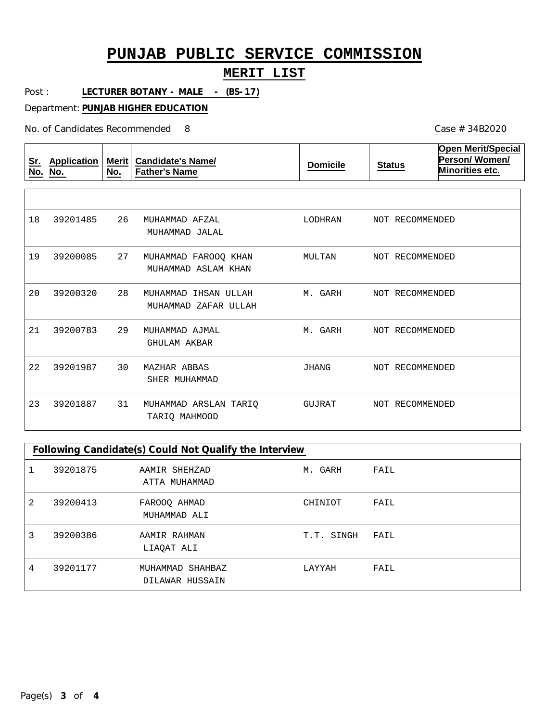### **MERIT LIST**

Post : LECTURER BOTANY - MALE - (BS-17)

Department: **PUNJAB HIGHER EDUCATION**

No. of Candidates Recommended

| <u>Sr.</u><br>No. | Application<br>No. | Merit<br>No. | <b>Candidate's Name/</b><br><b>Father's Name</b> | <b>Domicile</b> | <b>Status</b>   | <b>Open Merit/Special</b><br>Person/Women/<br>Minorities etc. |
|-------------------|--------------------|--------------|--------------------------------------------------|-----------------|-----------------|---------------------------------------------------------------|
|                   |                    |              |                                                  |                 |                 |                                                               |
| 18                | 39201485           | 26           | MUHAMMAD AFZAL<br>MUHAMMAD JALAL                 | LODHRAN         | NOT RECOMMENDED |                                                               |
| 19                | 39200085           | 27           | MUHAMMAD FAROOO KHAN<br>MUHAMMAD ASLAM KHAN      | MULTAN          | NOT RECOMMENDED |                                                               |
| 20                | 39200320           | 28           | MUHAMMAD<br>IHSAN ULLAH<br>MUHAMMAD ZAFAR ULLAH  | M. GARH         | NOT RECOMMENDED |                                                               |
| 21                | 39200783           | 29           | MUHAMMAD AJMAL<br><b>GHULAM AKBAR</b>            | M. GARH         | NOT RECOMMENDED |                                                               |
| 22                | 39201987           | 30           | MAZHAR ABBAS<br>SHER MUHAMMAD                    | JHANG           | NOT RECOMMENDED |                                                               |
| 23                | 39201887           | 31           | MUHAMMAD ARSLAN TARIO<br>TARIQ MAHMOOD           | GUJRAT          | NOT RECOMMENDED |                                                               |

### **Following Candidate(s) Could Not Qualify the Interview**

| 1 | 39201875 | AAMIR SHEHZAD<br>ATTA MUHAMMAD      | M. GARH    | FAIL |
|---|----------|-------------------------------------|------------|------|
| 2 | 39200413 | FAROOQ AHMAD<br>MUHAMMAD ALI        | CHINIOT    | FAIL |
| 3 | 39200386 | AAMIR RAHMAN<br>LIAQAT ALI          | T.T. SINGH | FAIL |
| 4 | 39201177 | MUHAMMAD SHAHBAZ<br>DILAWAR HUSSAIN | LAYYAH     | FAIL |

Case # 34B2020